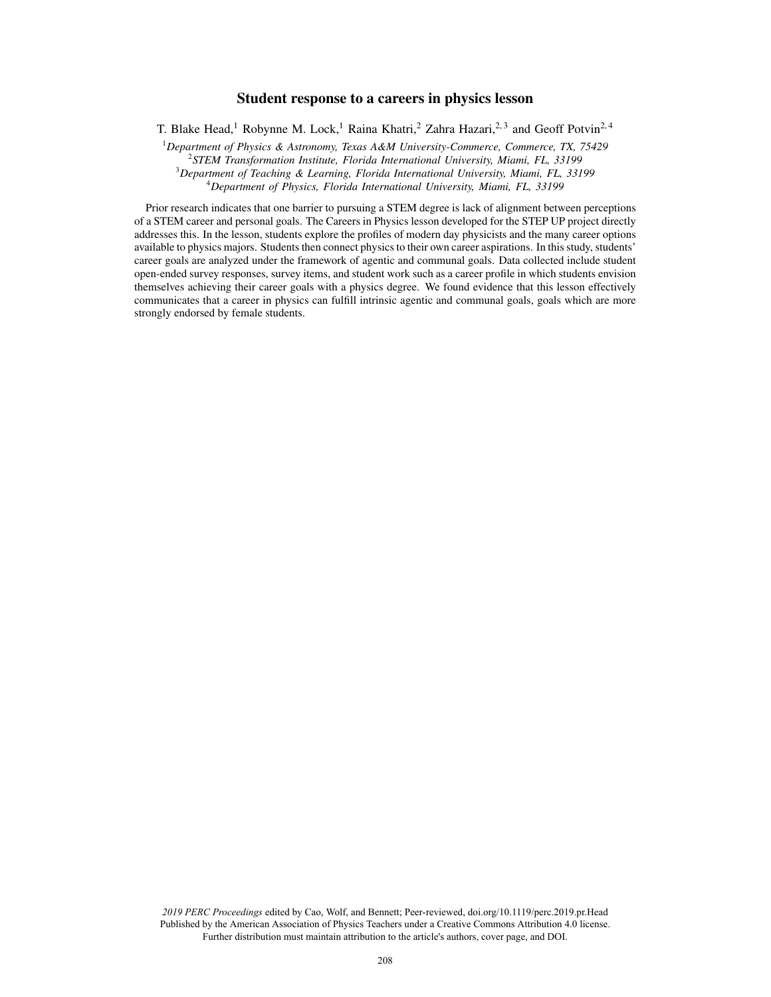# Student response to a careers in physics lesson

T. Blake Head,<sup>1</sup> Robynne M. Lock,<sup>1</sup> Raina Khatri,<sup>2</sup> Zahra Hazari,<sup>2,3</sup> and Geoff Potvin<sup>2,4</sup>

*Department of Physics & Astronomy, Texas A&M University-Commerce, Commerce, TX, 75429 STEM Transformation Institute, Florida International University, Miami, FL, 33199 Department of Teaching & Learning, Florida International University, Miami, FL, 33199 Department of Physics, Florida International University, Miami, FL, 33199*

Prior research indicates that one barrier to pursuing a STEM degree is lack of alignment between perceptions of a STEM career and personal goals. The Careers in Physics lesson developed for the STEP UP project directly addresses this. In the lesson, students explore the profiles of modern day physicists and the many career options available to physics majors. Students then connect physics to their own career aspirations. In this study, students' career goals are analyzed under the framework of agentic and communal goals. Data collected include student open-ended survey responses, survey items, and student work such as a career profile in which students envision themselves achieving their career goals with a physics degree. We found evidence that this lesson effectively communicates that a career in physics can fulfill intrinsic agentic and communal goals, goals which are more strongly endorsed by female students.

*2019 PERC Proceedings* edited by Cao, Wolf, and Bennett; Peer-reviewed, doi.org/10.1119/perc.2019.pr.Head Published by the American Association of Physics Teachers under a Creative Commons Attribution 4.0 license. Further distribution must maintain attribution to the article's authors, cover page, and DOI.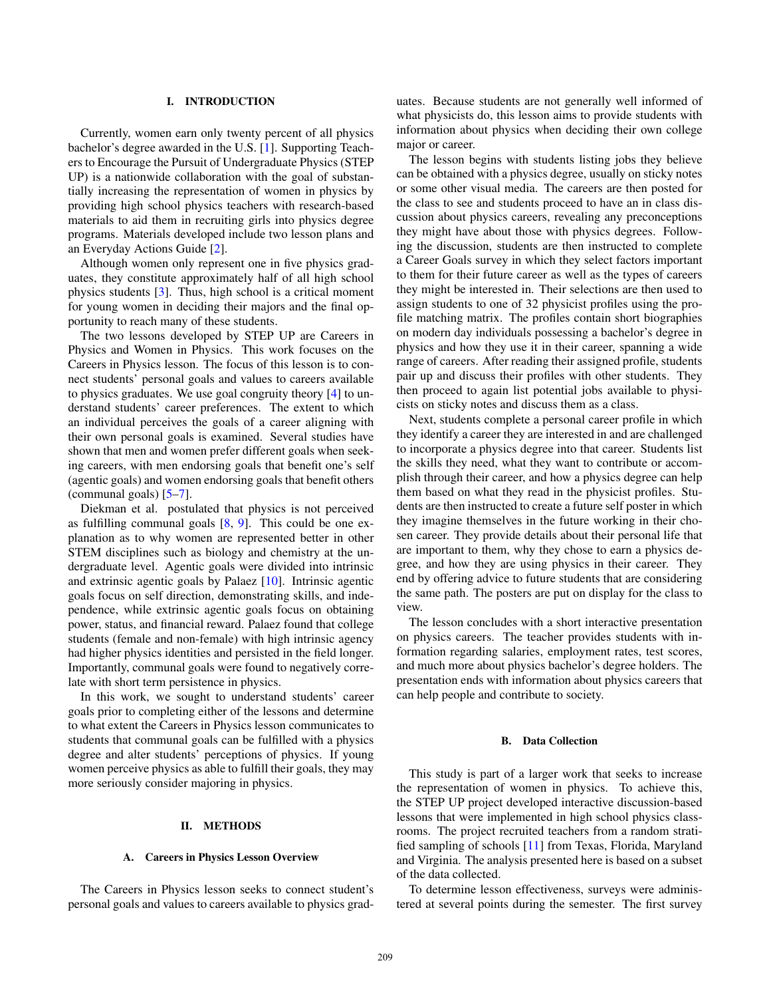### I. INTRODUCTION

Currently, women earn only twenty percent of all physics bachelor's degree awarded in the U.S. [1]. Supporting Teachers to Encourage the Pursuit of Undergraduate Physics (STEP UP) is a nationwide collaboration with the goal of substantially increasing the representation of women in physics by providing high school physics teachers with research-based materials to aid them in recruiting girls into physics degree programs. Materials developed include two lesson plans and an Everyday Actions Guide [2].

Although women only represent one in five physics graduates, they constitute approximately half of all high school physics students [3]. Thus, high school is a critical moment for young women in deciding their majors and the final opportunity to reach many of these students.

The two lessons developed by STEP UP are Careers in Physics and Women in Physics. This work focuses on the Careers in Physics lesson. The focus of this lesson is to connect students' personal goals and values to careers available to physics graduates. We use goal congruity theory [4] to understand students' career preferences. The extent to which an individual perceives the goals of a career aligning with their own personal goals is examined. Several studies have shown that men and women prefer different goals when seeking careers, with men endorsing goals that benefit one's self (agentic goals) and women endorsing goals that benefit others (communal goals) [5–7].

Diekman et al. postulated that physics is not perceived as fulfilling communal goals [8, 9]. This could be one explanation as to why women are represented better in other STEM disciplines such as biology and chemistry at the undergraduate level. Agentic goals were divided into intrinsic and extrinsic agentic goals by Palaez [10]. Intrinsic agentic goals focus on self direction, demonstrating skills, and independence, while extrinsic agentic goals focus on obtaining power, status, and financial reward. Palaez found that college students (female and non-female) with high intrinsic agency had higher physics identities and persisted in the field longer. Importantly, communal goals were found to negatively correlate with short term persistence in physics.

In this work, we sought to understand students' career goals prior to completing either of the lessons and determine to what extent the Careers in Physics lesson communicates to students that communal goals can be fulfilled with a physics degree and alter students' perceptions of physics. If young women perceive physics as able to fulfill their goals, they may more seriously consider majoring in physics.

### II. METHODS

### A. Careers in Physics Lesson Overview

The Careers in Physics lesson seeks to connect student's personal goals and values to careers available to physics graduates. Because students are not generally well informed of what physicists do, this lesson aims to provide students with information about physics when deciding their own college major or career.

The lesson begins with students listing jobs they believe can be obtained with a physics degree, usually on sticky notes or some other visual media. The careers are then posted for the class to see and students proceed to have an in class discussion about physics careers, revealing any preconceptions they might have about those with physics degrees. Following the discussion, students are then instructed to complete a Career Goals survey in which they select factors important to them for their future career as well as the types of careers they might be interested in. Their selections are then used to assign students to one of 32 physicist profiles using the profile matching matrix. The profiles contain short biographies on modern day individuals possessing a bachelor's degree in physics and how they use it in their career, spanning a wide range of careers. After reading their assigned profile, students pair up and discuss their profiles with other students. They then proceed to again list potential jobs available to physicists on sticky notes and discuss them as a class.

Next, students complete a personal career profile in which they identify a career they are interested in and are challenged to incorporate a physics degree into that career. Students list the skills they need, what they want to contribute or accomplish through their career, and how a physics degree can help them based on what they read in the physicist profiles. Students are then instructed to create a future self poster in which they imagine themselves in the future working in their chosen career. They provide details about their personal life that are important to them, why they chose to earn a physics degree, and how they are using physics in their career. They end by offering advice to future students that are considering the same path. The posters are put on display for the class to view.

The lesson concludes with a short interactive presentation on physics careers. The teacher provides students with information regarding salaries, employment rates, test scores, and much more about physics bachelor's degree holders. The presentation ends with information about physics careers that can help people and contribute to society.

### B. Data Collection

This study is part of a larger work that seeks to increase the representation of women in physics. To achieve this, the STEP UP project developed interactive discussion-based lessons that were implemented in high school physics classrooms. The project recruited teachers from a random stratified sampling of schools [11] from Texas, Florida, Maryland and Virginia. The analysis presented here is based on a subset of the data collected.

To determine lesson effectiveness, surveys were administered at several points during the semester. The first survey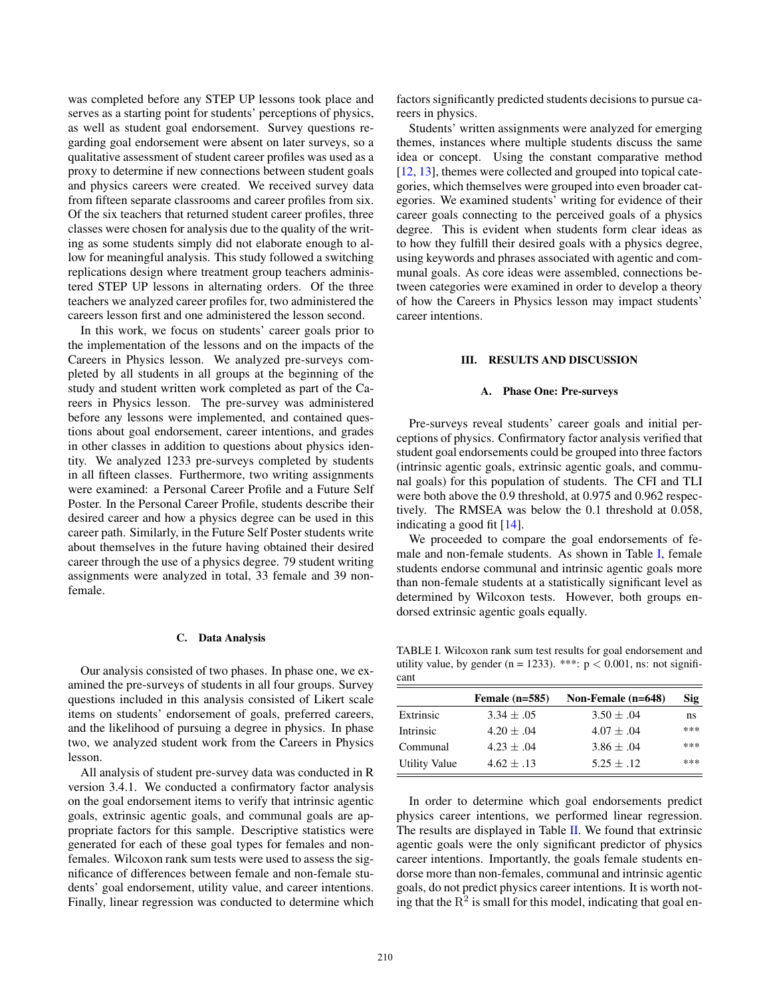was completed before any STEP UP lessons took place and serves as a starting point for students' perceptions of physics, as well as student goal endorsement. Survey questions regarding goal endorsement were absent on later surveys, so a qualitative assessment of student career profiles was used as a proxy to determine if new connections between student goals and physics careers were created. We received survey data from fifteen separate classrooms and career profiles from six. Of the six teachers that returned student career profiles, three classes were chosen for analysis due to the quality of the writing as some students simply did not elaborate enough to allow for meaningful analysis. This study followed a switching replications design where treatment group teachers administered STEP UP lessons in alternating orders. Of the three teachers we analyzed career profiles for, two administered the careers lesson first and one administered the lesson second.

In this work, we focus on students' career goals prior to the implementation of the lessons and on the impacts of the Careers in Physics lesson. We analyzed pre-surveys completed by all students in all groups at the beginning of the study and student written work completed as part of the Careers in Physics lesson. The pre-survey was administered before any lessons were implemented, and contained questions about goal endorsement, career intentions, and grades in other classes in addition to questions about physics identity. We analyzed 1233 pre-surveys completed by students in all fifteen classes. Furthermore, two writing assignments were examined: a Personal Career Profile and a Future Self Poster. In the Personal Career Profile, students describe their desired career and how a physics degree can be used in this career path. Similarly, in the Future Self Poster students write about themselves in the future having obtained their desired career through the use of a physics degree. 79 student writing assignments were analyzed in total, 33 female and 39 nonfemale.

#### C. Data Analysis

Our analysis consisted of two phases. In phase one, we examined the pre-surveys of students in all four groups. Survey questions included in this analysis consisted of Likert scale items on students' endorsement of goals, preferred careers, and the likelihood of pursuing a degree in physics. In phase two, we analyzed student work from the Careers in Physics lesson.

All analysis of student pre-survey data was conducted in R version 3.4.1. We conducted a confirmatory factor analysis on the goal endorsement items to verify that intrinsic agentic goals, extrinsic agentic goals, and communal goals are appropriate factors for this sample. Descriptive statistics were generated for each of these goal types for females and nonfemales. Wilcoxon rank sum tests were used to assess the significance of differences between female and non-female students' goal endorsement, utility value, and career intentions. Finally, linear regression was conducted to determine which factors significantly predicted students decisions to pursue careers in physics.

Students' written assignments were analyzed for emerging themes, instances where multiple students discuss the same idea or concept. Using the constant comparative method [12, 13], themes were collected and grouped into topical categories, which themselves were grouped into even broader categories. We examined students' writing for evidence of their career goals connecting to the perceived goals of a physics degree. This is evident when students form clear ideas as to how they fulfill their desired goals with a physics degree, using keywords and phrases associated with agentic and communal goals. As core ideas were assembled, connections between categories were examined in order to develop a theory of how the Careers in Physics lesson may impact students' career intentions.

### III. RESULTS AND DISCUSSION

#### A. Phase One: Pre-surveys

Pre-surveys reveal students' career goals and initial perceptions of physics. Confirmatory factor analysis verified that student goal endorsements could be grouped into three factors (intrinsic agentic goals, extrinsic agentic goals, and communal goals) for this population of students. The CFI and TLI were both above the 0.9 threshold, at 0.975 and 0.962 respectively. The RMSEA was below the 0.1 threshold at 0.058, indicating a good fit [14].

We proceeded to compare the goal endorsements of female and non-female students. As shown in Table [I,](#page-2-0) female students endorse communal and intrinsic agentic goals more than non-female students at a statistically significant level as determined by Wilcoxon tests. However, both groups endorsed extrinsic agentic goals equally.

<span id="page-2-0"></span>TABLE I. Wilcoxon rank sum test results for goal endorsement and utility value, by gender (n = 1233). \*\*\*:  $p < 0.001$ , ns: not significant

|                      | Female $(n=585)$ | Non-Female (n=648) | Sig |
|----------------------|------------------|--------------------|-----|
| Extrinsic            | $3.34 + .05$     | $3.50 + .04$       | ns  |
| Intrinsic            | $4.20 + .04$     | $4.07 + .04$       | *** |
| Communal             | $4.23 + .04$     | $3.86 + .04$       | *** |
| <b>Utility Value</b> | $4.62 + .13$     | $5.25 + .12$       | *** |

In order to determine which goal endorsements predict physics career intentions, we performed linear regression. The results are displayed in Table II. We found that extrinsic agentic goals were the only significant predictor of physics career intentions. Importantly, the goals female students endorse more than non-females, communal and intrinsic agentic goals, do not predict physics career intentions. It is worth noting that the  $R^2$  is small for this model, indicating that goal en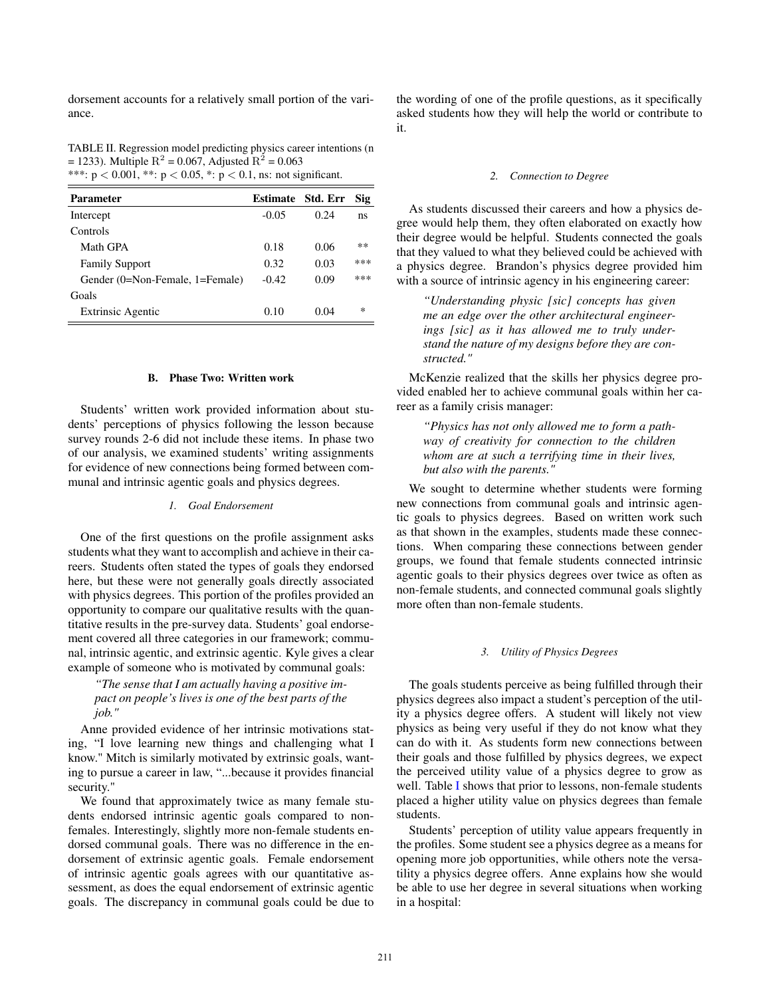dorsement accounts for a relatively small portion of the variance.

TABLE II. Regression model predicting physics career intentions (n = 1233). Multiple R<sup>2</sup> = 0.067, Adjusted R<sup>2</sup> = 0.063 \*\*\*:  $p < 0.001$ , \*\*:  $p < 0.05$ , \*:  $p < 0.1$ , ns: not significant.

| <b>Parameter</b>                | <b>Estimate</b> | Std. Err | Sig   |
|---------------------------------|-----------------|----------|-------|
| Intercept                       | $-0.05$         | 0.24     | ns    |
| Controls                        |                 |          |       |
| Math GPA                        | 0.18            | 0.06     | $* *$ |
| <b>Family Support</b>           | 0.32            | 0.03     | ***   |
| Gender (0=Non-Female, 1=Female) | $-0.42$         | 0.09     | ***   |
| Goals                           |                 |          |       |
| <b>Extrinsic Agentic</b>        | 0.10            | 0.04     | ∗     |

#### B. Phase Two: Written work

Students' written work provided information about students' perceptions of physics following the lesson because survey rounds 2-6 did not include these items. In phase two of our analysis, we examined students' writing assignments for evidence of new connections being formed between communal and intrinsic agentic goals and physics degrees.

### *1. Goal Endorsement*

One of the first questions on the profile assignment asks students what they want to accomplish and achieve in their careers. Students often stated the types of goals they endorsed here, but these were not generally goals directly associated with physics degrees. This portion of the profiles provided an opportunity to compare our qualitative results with the quantitative results in the pre-survey data. Students' goal endorsement covered all three categories in our framework; communal, intrinsic agentic, and extrinsic agentic. Kyle gives a clear example of someone who is motivated by communal goals:

# *"The sense that I am actually having a positive impact on people's lives is one of the best parts of the job."*

Anne provided evidence of her intrinsic motivations stating, "I love learning new things and challenging what I know." Mitch is similarly motivated by extrinsic goals, wanting to pursue a career in law, "...because it provides financial security."

We found that approximately twice as many female students endorsed intrinsic agentic goals compared to nonfemales. Interestingly, slightly more non-female students endorsed communal goals. There was no difference in the endorsement of extrinsic agentic goals. Female endorsement of intrinsic agentic goals agrees with our quantitative assessment, as does the equal endorsement of extrinsic agentic goals. The discrepancy in communal goals could be due to the wording of one of the profile questions, as it specifically asked students how they will help the world or contribute to it.

#### *2. Connection to Degree*

As students discussed their careers and how a physics degree would help them, they often elaborated on exactly how their degree would be helpful. Students connected the goals that they valued to what they believed could be achieved with a physics degree. Brandon's physics degree provided him with a source of intrinsic agency in his engineering career:

*"Understanding physic [sic] concepts has given me an edge over the other architectural engineerings [sic] as it has allowed me to truly understand the nature of my designs before they are constructed."*

McKenzie realized that the skills her physics degree provided enabled her to achieve communal goals within her career as a family crisis manager:

*"Physics has not only allowed me to form a pathway of creativity for connection to the children whom are at such a terrifying time in their lives, but also with the parents."*

We sought to determine whether students were forming new connections from communal goals and intrinsic agentic goals to physics degrees. Based on written work such as that shown in the examples, students made these connections. When comparing these connections between gender groups, we found that female students connected intrinsic agentic goals to their physics degrees over twice as often as non-female students, and connected communal goals slightly more often than non-female students.

## *3. Utility of Physics Degrees*

The goals students perceive as being fulfilled through their physics degrees also impact a student's perception of the utility a physics degree offers. A student will likely not view physics as being very useful if they do not know what they can do with it. As students form new connections between their goals and those fulfilled by physics degrees, we expect the perceived utility value of a physics degree to grow as well. Table I shows that prior to lessons, non-female students placed a higher utility value on physics degrees than female students.

Students' perception of utility value appears frequently in the profiles. Some student see a physics degree as a means for opening more job opportunities, while others note the versatility a physics degree offers. Anne explains how she would be able to use her degree in several situations when working in a hospital: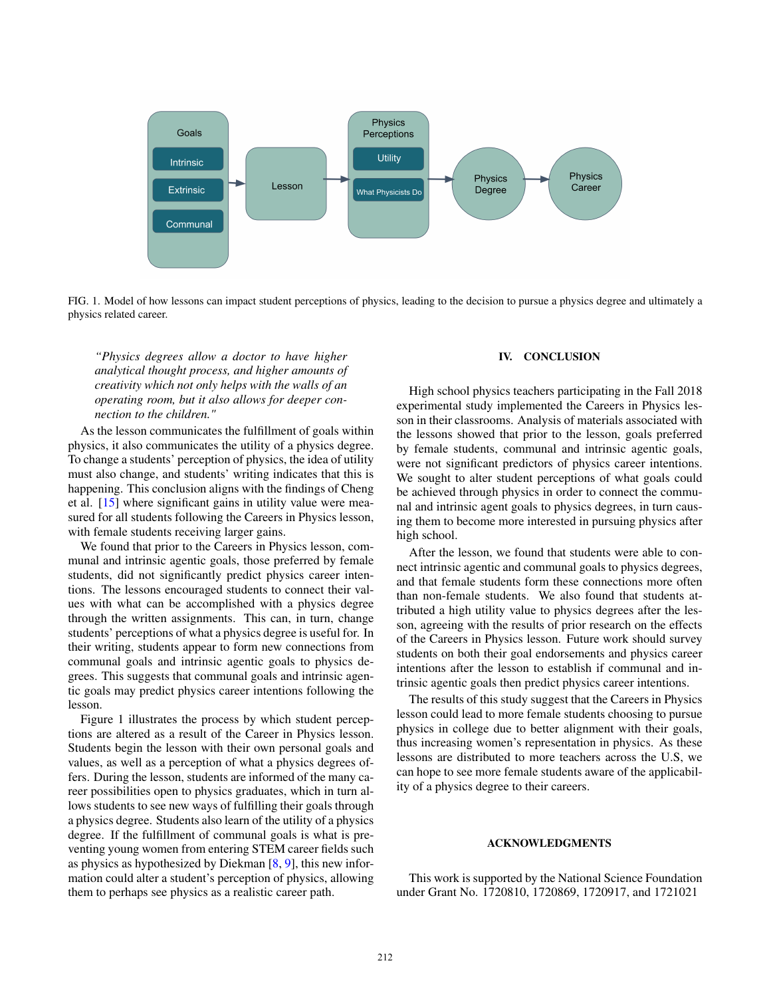

FIG. 1. Model of how lessons can impact student perceptions of physics, leading to the decision to pursue a physics degree and ultimately a physics related career.

*"Physics degrees allow a doctor to have higher analytical thought process, and higher amounts of creativity which not only helps with the walls of an operating room, but it also allows for deeper connection to the children."*

As the lesson communicates the fulfillment of goals within physics, it also communicates the utility of a physics degree. To change a students' perception of physics, the idea of utility must also change, and students' writing indicates that this is happening. This conclusion aligns with the findings of Cheng et al. [15] where significant gains in utility value were measured for all students following the Careers in Physics lesson, with female students receiving larger gains.

We found that prior to the Careers in Physics lesson, communal and intrinsic agentic goals, those preferred by female students, did not significantly predict physics career intentions. The lessons encouraged students to connect their values with what can be accomplished with a physics degree through the written assignments. This can, in turn, change students' perceptions of what a physics degree is useful for. In their writing, students appear to form new connections from communal goals and intrinsic agentic goals to physics degrees. This suggests that communal goals and intrinsic agentic goals may predict physics career intentions following the lesson.

Figure 1 illustrates the process by which student perceptions are altered as a result of the Career in Physics lesson. Students begin the lesson with their own personal goals and values, as well as a perception of what a physics degrees offers. During the lesson, students are informed of the many career possibilities open to physics graduates, which in turn allows students to see new ways of fulfilling their goals through a physics degree. Students also learn of the utility of a physics degree. If the fulfillment of communal goals is what is preventing young women from entering STEM career fields such as physics as hypothesized by Diekman [8, 9], this new information could alter a student's perception of physics, allowing them to perhaps see physics as a realistic career path.

### IV. CONCLUSION

High school physics teachers participating in the Fall 2018 experimental study implemented the Careers in Physics lesson in their classrooms. Analysis of materials associated with the lessons showed that prior to the lesson, goals preferred by female students, communal and intrinsic agentic goals, were not significant predictors of physics career intentions. We sought to alter student perceptions of what goals could be achieved through physics in order to connect the communal and intrinsic agent goals to physics degrees, in turn causing them to become more interested in pursuing physics after high school.

After the lesson, we found that students were able to connect intrinsic agentic and communal goals to physics degrees, and that female students form these connections more often than non-female students. We also found that students attributed a high utility value to physics degrees after the lesson, agreeing with the results of prior research on the effects of the Careers in Physics lesson. Future work should survey students on both their goal endorsements and physics career intentions after the lesson to establish if communal and intrinsic agentic goals then predict physics career intentions.

The results of this study suggest that the Careers in Physics lesson could lead to more female students choosing to pursue physics in college due to better alignment with their goals, thus increasing women's representation in physics. As these lessons are distributed to more teachers across the U.S, we can hope to see more female students aware of the applicability of a physics degree to their careers.

### ACKNOWLEDGMENTS

This work is supported by the National Science Foundation under Grant No. 1720810, 1720869, 1720917, and 1721021